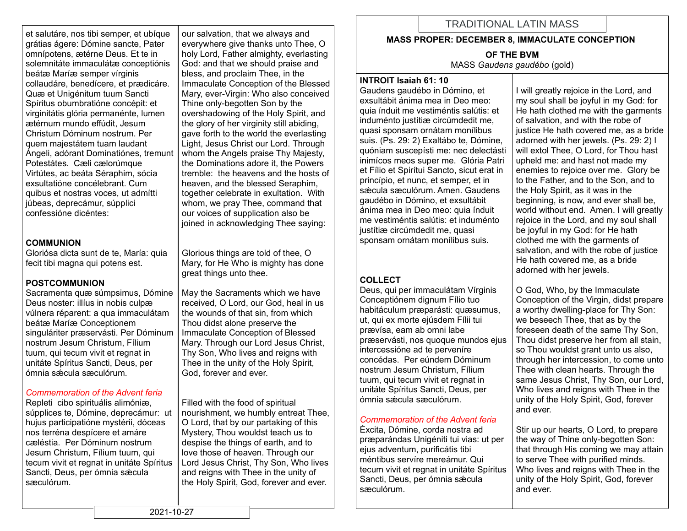et salutáre, nos tibi semper, et ubíque grátias ágere: Dómine sancte, Pater omnípotens, ætérne Deus. Et te in solemnitáte immaculátæ conceptiónis beátæ Maríæ semper vírginis collaudáre, benedícere, et prædicáre. Quæ et Unigénitum tuum Sancti Spíritus obumbratióne concépit: et virginitátis glória permanénte, lumen ætérnum mundo effúdit, Jesum Christum Dóminum nostrum. Per quem majestátem tuam laudant Ángeli, adórant Dominatiónes, tremunt Potestátes. Cæli cælorúmque Virtútes, ac beáta Séraphim, sócia exsultatióne concélebrant. Cum quibus et nostras voces, ut admítti júbeas, deprecámur, súpplici confessióne dicéntes:

### **COMMUNION**

Gloriósa dicta sunt de te, María: quia fecit tibi magna qui potens est.

### **POSTCOMMUNION**

Sacramenta quæ súmpsimus, Dómine Deus noster: illíus in nobis culpæ vúlnera réparent: a qua immaculátam beátæ Maríæ Conceptionem singuláriter præservásti. Per Dóminum nostrum Jesum Christum, Fílium tuum, qui tecum vivit et regnat in unitáte Spíritus Sancti, Deus, per ómnia sǽcula sæculórum.

### *Commemoration of the Advent feria*

Repleti cibo spirituális alimóniæ, súpplices te, Dómine, deprecámur: ut hujus participatióne mystérii, dóceas nos terréna despícere et amáre cæléstia. Per Dóminum nostrum Jesum Christum, Fílium tuum, qui tecum vivit et regnat in unitáte Spíritus Sancti, Deus, per ómnia sæcula sæculórum.

our salvation, that we always and everywhere give thanks unto Thee, O holy Lord, Father almighty, everlasting God: and that we should praise and bless, and proclaim Thee, in the Immaculate Conception of the Blessed Mary, ever-Virgin: Who also conceived Thine only-begotten Son by the overshadowing of the Holy Spirit, and the glory of her virginity still abiding, gave forth to the world the everlasting Light, Jesus Christ our Lord. Through whom the Angels praise Thy Majesty, the Dominations adore it, the Powers tremble: the heavens and the hosts of heaven, and the blessed Seraphim, together celebrate in exultation. With whom, we pray Thee, command that our voices of supplication also be joined in acknowledging Thee saying:

Glorious things are told of thee, O Mary, for He Who is mighty has done great things unto thee.

May the Sacraments which we have received, O Lord, our God, heal in us the wounds of that sin, from which Thou didst alone preserve the Immaculate Conception of Blessed Mary. Through our Lord Jesus Christ, Thy Son, Who lives and reigns with Thee in the unity of the Holy Spirit, God, forever and ever.

Filled with the food of spiritual nourishment, we humbly entreat Thee, O Lord, that by our partaking of this Mystery, Thou wouldst teach us to despise the things of earth, and to love those of heaven. Through our Lord Jesus Christ, Thy Son, Who lives and reigns with Thee in the unity of the Holy Spirit, God, forever and ever.

# TRADITIONAL LATIN MASS

#### **MASS PROPER: DECEMBER 8, IMMACULATE CONCEPTION**

**OF THE BVM** MASS *Gaudens gaudébo* (gold)

#### **INTROIT Isaiah 61: 10**

Gaudens gaudébo in Dómino, et exsultábit ánima mea in Deo meo: quia índuit me vestiméntis salútis: et induménto justítiæ circúmdedit me, quasi sponsam ornátam monílibus suis. (Ps. 29: 2) Exaltábo te, Dómine, quóniam suscepísti me: nec delectásti inimícos meos super me. Glória Patri et Fílio et Spirítui Sancto, sicut erat in princípio, et nunc, et semper, et in sæcula sæculórum. Amen. Gaudens gaudébo in Dómino, et exsultábit ánima mea in Deo meo: quia índuit me vestiméntis salútis: et induménto justítiæ circúmdedit me, quasi sponsam ornátam monílibus suis.

## **COLLECT**

Deus, qui per immaculátam Vírginis Conceptiónem dignum Fílio tuo habitáculum præparásti: quæsumus, ut, qui ex morte ejúsdem Fílii tui prævísa, eam ab omni labe præservásti, nos quoque mundos ejus intercessióne ad te perveníre concédas. Per eúndem Dóminum nostrum Jesum Christum, Fílium tuum, qui tecum vivit et regnat in unitáte Spíritus Sancti, Deus, per ómnia sǽcula sæculórum.

### *Commemoration of the Advent feria*

Éxcita, Dómine, corda nostra ad præparándas Unigéniti tui vias: ut per ejus adventum, purificátis tibi méntibus servíre mereámur. Qui tecum vivit et regnat in unitáte Spíritus Sancti, Deus, per ómnia sæcula sæculórum.

I will greatly rejoice in the Lord, and my soul shall be joyful in my God: for He hath clothed me with the garments of salvation, and with the robe of justice He hath covered me, as a bride adorned with her jewels. (Ps. 29: 2) I will extol Thee, O Lord, for Thou hast upheld me: and hast not made my enemies to rejoice over me. Glory be to the Father, and to the Son, and to the Holy Spirit, as it was in the beginning, is now, and ever shall be, world without end. Amen. I will greatly rejoice in the Lord, and my soul shall be joyful in my God: for He hath clothed me with the garments of salvation, and with the robe of justice He hath covered me, as a bride adorned with her jewels.

O God, Who, by the Immaculate Conception of the Virgin, didst prepare a worthy dwelling-place for Thy Son: we beseech Thee, that as by the foreseen death of the same Thy Son, Thou didst preserve her from all stain, so Thou wouldst grant unto us also, through her intercession, to come unto Thee with clean hearts. Through the same Jesus Christ, Thy Son, our Lord, Who lives and reigns with Thee in the unity of the Holy Spirit, God, forever and ever.

Stir up our hearts, O Lord, to prepare the way of Thine only-begotten Son: that through His coming we may attain to serve Thee with purified minds. Who lives and reigns with Thee in the unity of the Holy Spirit, God, forever and ever.